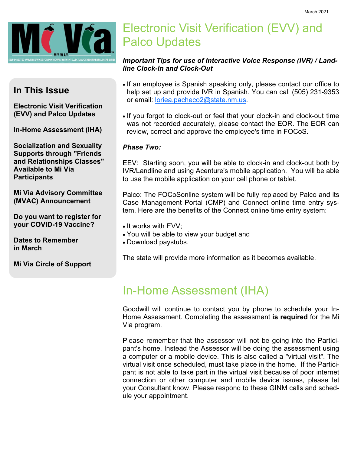

### In This Issue

Electronic Visit Verification (EVV) and Palco Updates

In-Home Assessment (IHA)

Socialization and Sexuality Supports through "Friends and Relationships Classes" Available to Mi Via **Participants** 

Mi Via Advisory Committee (MVAC) Announcement

Do you want to register for your COVID-19 Vaccine?

Dates to Remember in March

Mi Via Circle of Support

# Electronic Visit Verification (EVV) and Palco Updates

#### Important Tips for use of Interactive Voice Response (IVR) / Landline Clock-In and Clock-Out

- If an employee is Spanish speaking only, please contact our office to help set up and provide IVR in Spanish. You can call (505) 231-9353 or email: loriea.pacheco2@state.nm.us.
- If you forgot to clock-out or feel that your clock-in and clock-out time was not recorded accurately, please contact the EOR. The EOR can review, correct and approve the employee's time in FOCoS.

#### Phase Two:

EEV: Starting soon, you will be able to clock-in and clock-out both by IVR/Landline and using Acenture's mobile application. You will be able to use the mobile application on your cell phone or tablet.

Palco: The FOCoSonline system will be fully replaced by Palco and its Case Management Portal (CMP) and Connect online time entry system. Here are the benefits of the Connect online time entry system:

- It works with EVV;
- You will be able to view your budget and
- Download paystubs.

The state will provide more information as it becomes available.

## In-Home Assessment (IHA)

Goodwill will continue to contact you by phone to schedule your In-Home Assessment. Completing the assessment is required for the Mi Via program.

Please remember that the assessor will not be going into the Participant's home. Instead the Assessor will be doing the assessment using a computer or a mobile device. This is also called a "virtual visit". The virtual visit once scheduled, must take place in the home. If the Participant is not able to take part in the virtual visit because of poor internet connection or other computer and mobile device issues, please let your Consultant know. Please respond to these GINM calls and schedule your appointment.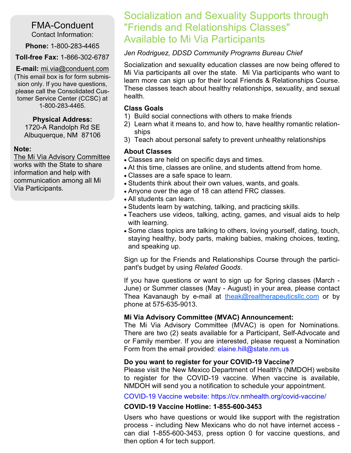#### FMA-Conduent Contact Information:

Phone: 1-800-283-4465

Toll-free Fax: 1-866-302-6787

E-mail: mi.via@conduent.com (This email box is for form submission only. If you have questions, please call the Consolidated Customer Service Center (CCSC) at 1-800-283-4465.

#### Physical Address:

1720-A Randolph Rd SE Albuquerque, NM 87106

#### Note:

The Mi Via Advisory Committee works with the State to share information and help with communication among all Mi Via Participants.

## Socialization and Sexuality Supports through "Friends and Relationships Classes" Available to Mi Via Participants

#### Jen Rodriguez, DDSD Community Programs Bureau Chief

Socialization and sexuality education classes are now being offered to Mi Via participants all over the state. Mi Via participants who want to learn more can sign up for their local Friends & Relationships Course. These classes teach about healthy relationships, sexuality, and sexual health.

#### Class Goals

- 1) Build social connections with others to make friends
- 2) Learn what it means to, and how to, have healthy romantic relationships
- 3) Teach about personal safety to prevent unhealthy relationships

#### About Classes

- Classes are held on specific days and times.
- At this time, classes are online, and students attend from home.
- Classes are a safe space to learn.
- Students think about their own values, wants, and goals.
- Anyone over the age of 18 can attend FRC classes.
- All students can learn.
- Students learn by watching, talking, and practicing skills.
- Teachers use videos, talking, acting, games, and visual aids to help with learning.
- Some class topics are talking to others, loving yourself, dating, touch, staying healthy, body parts, making babies, making choices, texting, and speaking up.

Sign up for the Friends and Relationships Course through the participant's budget by using Related Goods.

If you have questions or want to sign up for Spring classes (March - June) or Summer classes (May - August) in your area, please contact Thea Kavanaugh by e-mail at theak@realtherapeuticsllc.com or by phone at 575-635-9013.

#### Mi Via Advisory Committee (MVAC) Announcement:

The Mi Via Advisory Committee (MVAC) is open for Nominations. There are two (2) seats available for a Participant, Self-Advocate and or Family member. If you are interested, please request a Nomination Form from the email provided: elaine.hill@state.nm.us

#### Do you want to register for your COVID-19 Vaccine?

Please visit the New Mexico Department of Health's (NMDOH) website to register for the COVID-19 vaccine. When vaccine is available, NMDOH will send you a notification to schedule your appointment.

#### COVID-19 Vaccine website: https://cv.nmhealth.org/covid-vaccine/

#### COVID-19 Vaccine Hotline: 1-855-600-3453

Users who have questions or would like support with the registration process - including New Mexicans who do not have internet access can dial 1-855-600-3453, press option 0 for vaccine questions, and then option 4 for tech support.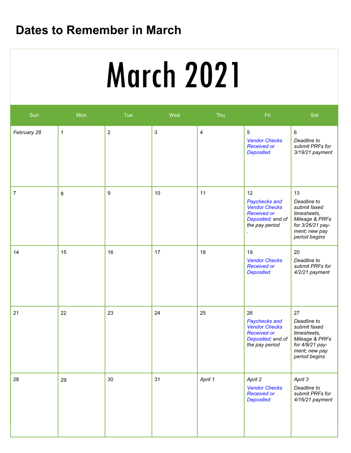# Dates to Remember in March

# Vendor Flowchart Service Deliveries Concerns (E.g. SSP)

| Sun            | Mon | Tue              | Wed                       | Thu            | Fri                                                                                                      | Sat                                                                                                                      |
|----------------|-----|------------------|---------------------------|----------------|----------------------------------------------------------------------------------------------------------|--------------------------------------------------------------------------------------------------------------------------|
| February 28    | 1   | $\sqrt{2}$       | $\ensuremath{\mathsf{3}}$ | $\overline{4}$ | $\mathbf 5$<br><b>Vendor Checks</b><br><b>Received or</b><br><b>Deposited</b>                            | $\,6\,$<br>Deadline to<br>submit PRFs for<br>3/19/21 payment                                                             |
| $\overline{7}$ | 8   | $\boldsymbol{9}$ | 10                        | 11             | 12<br>Paychecks and<br><b>Vendor Checks</b><br><b>Received or</b><br>Deposited; end of<br>the pay period | 13<br>Deadline to<br>submit faxed<br>timesheets,<br>Mileage & PRFs<br>for 3/26/21 pay-<br>ment; new pay<br>period begins |
| 14             | 15  | 16               | 17                        | 18             | 19<br><b>Vendor Checks</b><br><b>Received or</b><br><b>Deposited</b>                                     | 20<br>Deadline to<br>submit PRFs for<br>4/2/21 payment                                                                   |
| 21             | 22  | 23               | 24                        | 25             | 26<br>Paychecks and<br><b>Vendor Checks</b><br><b>Received or</b><br>Deposited; end of<br>the pay period | 27<br>Deadline to<br>submit faxed<br>timesheets,<br>Mileage & PRFs<br>for 4/9/21 pay-<br>ment; new pay<br>period begins  |
| 28             | 29  | 30               | 31                        | April 1        | April 2<br><b>Vendor Checks</b><br><b>Received or</b><br><b>Deposited</b>                                | April 3<br>Deadline to<br>submit PRFs for<br>$4/16/21$ payment                                                           |